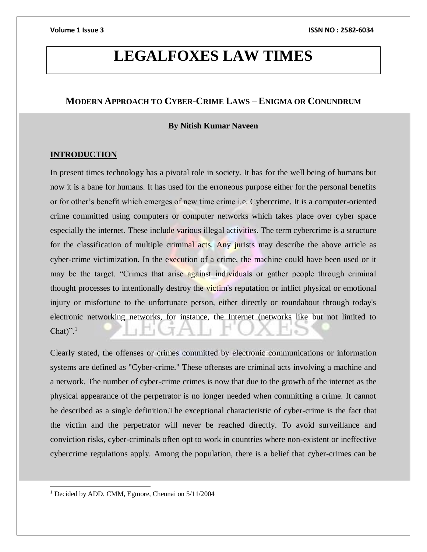# **LEGALFOXES LAW TIMES**

# **MODERN APPROACH TO CYBER-CRIME LAWS – ENIGMA OR CONUNDRUM**

#### **By Nitish Kumar Naveen**

### **INTRODUCTION**

In present times technology has a pivotal role in society. It has for the well being of humans but now it is a bane for humans. It has used for the erroneous purpose either for the personal benefits or for other's benefit which emerges of new time crime i.e. Cybercrime. It is a computer-oriented crime committed using computers or computer networks which takes place over cyber space especially the internet. These include various illegal activities. The term cybercrime is a structure for the classification of multiple criminal acts. Any jurists may describe the above article as cyber-crime victimization. In the execution of a crime, the machine could have been used or it may be the target. "Crimes that arise against individuals or gather people through criminal thought processes to intentionally destroy the victim's reputation or inflict physical or emotional injury or misfortune to the unfortunate person, either directly or roundabout through today's electronic networking networks, for instance, the Internet (networks like but not limited to Chat $)^{\prime\prime}$ .<sup>1</sup>

Clearly stated, the offenses or crimes committed by electronic communications or information systems are defined as "Cyber-crime." These offenses are criminal acts involving a machine and a network. The number of cyber-crime crimes is now that due to the growth of the internet as the physical appearance of the perpetrator is no longer needed when committing a crime. It cannot be described as a single definition.The exceptional characteristic of cyber-crime is the fact that the victim and the perpetrator will never be reached directly. To avoid surveillance and conviction risks, cyber-criminals often opt to work in countries where non-existent or ineffective cybercrime regulations apply. Among the population, there is a belief that cyber-crimes can be

<sup>1</sup> Decided by ADD. CMM, Egmore, Chennai on 5/11/2004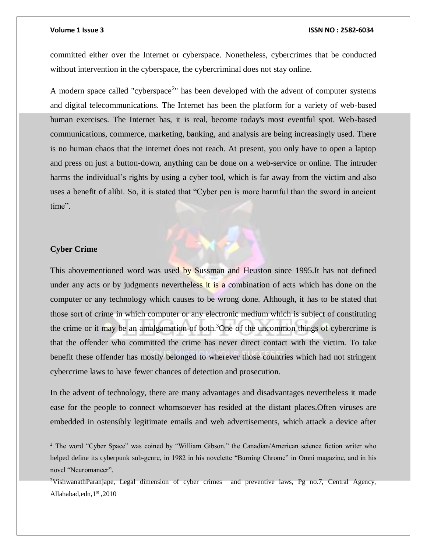committed either over the Internet or cyberspace. Nonetheless, cybercrimes that be conducted without intervention in the cyberspace, the cybercriminal does not stay online.

A modern space called "cyberspace<sup>2</sup>" has been developed with the advent of computer systems and digital telecommunications. The Internet has been the platform for a variety of web-based human exercises. The Internet has, it is real, become today's most eventful spot. Web-based communications, commerce, marketing, banking, and analysis are being increasingly used. There is no human chaos that the internet does not reach. At present, you only have to open a laptop and press on just a button-down, anything can be done on a web-service or online. The intruder harms the individual's rights by using a cyber tool, which is far away from the victim and also uses a benefit of alibi. So, it is stated that "Cyber pen is more harmful than the sword in ancient time".

### **Cyber Crime**

This abovementioned word was used by Sussman and Heuston since 1995.It has not defined under any acts or by judgments nevertheless it is a combination of acts which has done on the computer or any technology which causes to be wrong done. Although, it has to be stated that those sort of crime in which computer or any electronic medium which is subject of constituting the crime or it may be an amalgamation of both.<sup>3</sup>One of the uncommon things of cybercrime is that the offender who committed the crime has never direct contact with the victim. To take benefit these offender has mostly belonged to wherever those countries which had not stringent cybercrime laws to have fewer chances of detection and prosecution.

In the advent of technology, there are many advantages and disadvantages nevertheless it made ease for the people to connect whomsoever has resided at the distant places.Often viruses are embedded in ostensibly legitimate emails and web advertisements, which attack a device after

<sup>2</sup> The word "Cyber Space" was coined by "William Gibson," the Canadian/American science fiction writer who helped define its cyberpunk sub-genre, in 1982 in his novelette "Burning Chrome" in Omni magazine, and in his novel "Neuromancer".

<sup>&</sup>lt;sup>3</sup>VishwanathParanjape, Legal dimension of cyber crimes and preventive laws, Pg no.7, Central Agency, Allahabad,edn, 1st, 2010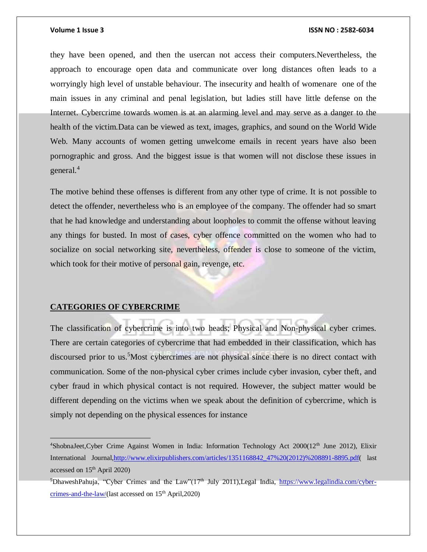they have been opened, and then the usercan not access their computers.Nevertheless, the approach to encourage open data and communicate over long distances often leads to a worryingly high level of unstable behaviour. The insecurity and health of womenare one of the main issues in any criminal and penal legislation, but ladies still have little defense on the Internet. Cybercrime towards women is at an alarming level and may serve as a danger to the health of the victim.Data can be viewed as text, images, graphics, and sound on the World Wide Web. Many accounts of women getting unwelcome emails in recent years have also been pornographic and gross. And the biggest issue is that women will not disclose these issues in general.<sup>4</sup>

The motive behind these offenses is different from any other type of crime. It is not possible to detect the offender, nevertheless who is an employee of the company. The offender had so smart that he had knowledge and understanding about loopholes to commit the offense without leaving any things for busted. In most of cases, cyber offence committed on the women who had to socialize on social networking site, nevertheless, offender is close to someone of the victim, which took for their motive of personal gain, revenge, etc.

#### **CATEGORIES OF CYBERCRIME**

The classification of cybercrime is into two heads; Physical and Non-physical cyber crimes. There are certain categories of cybercrime that had embedded in their classification, which has discoursed prior to us.<sup>5</sup>Most cybercrimes are not physical since there is no direct contact with communication. Some of the non-physical cyber crimes include cyber invasion, cyber theft, and cyber fraud in which physical contact is not required. However, the subject matter would be different depending on the victims when we speak about the definition of cybercrime, which is simply not depending on the physical essences for instance

 $4$ ShobnaJeet,Cyber Crime Against Women in India: Information Technology Act 2000(12<sup>th</sup> June 2012), Elixir International Journal[,http://www.elixirpublishers.com/articles/1351168842\\_47%20\(2012\)%208891-8895.pdf\(](http://www.elixirpublishers.com/articles/1351168842_47%20(2012)%208891-8895.pdf) last accessed on 15th April 2020)

 $5$ DhaweshPahuja, "Cyber Crimes and the Law"(17<sup>th</sup> July 2011), Legal India, [https://www.legalindia.com/cyber](https://www.legalindia.com/cyber-crimes-and-the-law/)[crimes-and-the-law/\(](https://www.legalindia.com/cyber-crimes-and-the-law/)last accessed on  $15<sup>th</sup>$  April, 2020)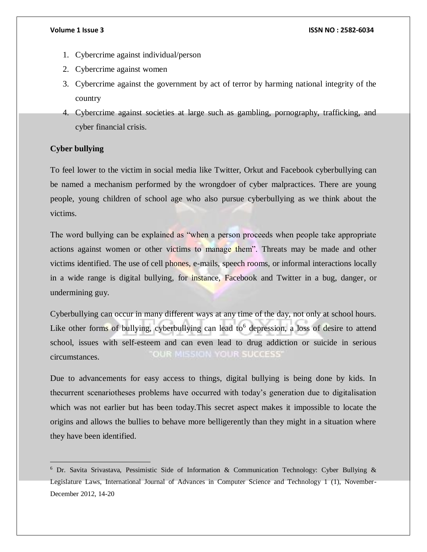- 1. Cybercrime against individual/person
- 2. Cybercrime against women
- 3. Cybercrime against the government by act of terror by harming national integrity of the country
- 4. Cybercrime against societies at large such as gambling, pornography, trafficking, and cyber financial crisis.

### **Cyber bullying**

 $\overline{a}$ 

To feel lower to the victim in social media like Twitter, Orkut and Facebook cyberbullying can be named a mechanism performed by the wrongdoer of cyber malpractices. There are young people, young children of school age who also pursue cyberbullying as we think about the victims.

The word bullying can be explained as "when a person proceeds when people take appropriate actions against women or other victims to manage them". Threats may be made and other victims identified. The use of cell phones, e-mails, speech rooms, or informal interactions locally in a wide range is digital bullying, for instance, Facebook and Twitter in a bug, danger, or undermining guy.

Cyberbullying can occur in many different ways at any time of the day, not only at school hours. Like other forms of bullying, cyberbullying can lead to<sup>6</sup> depression, a loss of desire to attend school, issues with self-esteem and can even lead to drug addiction or suicide in serious **OUR MISSION YOUR SUCCESS'** circumstances.

Due to advancements for easy access to things, digital bullying is being done by kids. In thecurrent scenariotheses problems have occurred with today's generation due to digitalisation which was not earlier but has been today.This secret aspect makes it impossible to locate the origins and allows the bullies to behave more belligerently than they might in a situation where they have been identified.

<sup>&</sup>lt;sup>6</sup> Dr. Savita Srivastava, Pessimistic Side of Information & Communication Technology: Cyber Bullying & Legislature Laws, International Journal of Advances in Computer Science and Technology 1 (1), November-December 2012, 14-20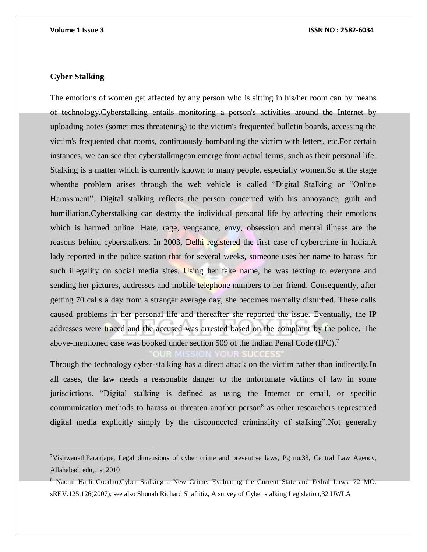# **Cyber Stalking**

 $\overline{a}$ 

The emotions of women get affected by any person who is sitting in his/her room can by means of technology.Cyberstalking entails monitoring a person's activities around the Internet by uploading notes (sometimes threatening) to the victim's frequented bulletin boards, accessing the victim's frequented chat rooms, continuously bombarding the victim with letters, etc.For certain instances, we can see that cyberstalkingcan emerge from actual terms, such as their personal life. Stalking is a matter which is currently known to many people, especially women.So at the stage whenthe problem arises through the web vehicle is called "Digital Stalking or "Online Harassment". Digital stalking reflects the person concerned with his annoyance, guilt and humiliation.Cyberstalking can destroy the individual personal life by affecting their emotions which is harmed online. Hate, rage, vengeance, envy, obsession and mental illness are the reasons behind cyberstalkers. In 2003, Delhi registered the first case of cybercrime in India.A lady reported in the police station that for several weeks, someone uses her name to harass for such illegality on social media sites. Using her fake name, he was texting to everyone and sending her pictures, addresses and mobile telephone numbers to her friend. Consequently, after getting 70 calls a day from a stranger average day, she becomes mentally disturbed. These calls caused problems in her personal life and thereafter she reported the issue. Eventually, the IP addresses were traced and the accused was arrested based on the complaint by the police. The above-mentioned case was booked under section 509 of the Indian Penal Code (IPC).<sup>7</sup>

Through the technology cyber-stalking has a direct attack on the victim rather than indirectly.In all cases, the law needs a reasonable danger to the unfortunate victims of law in some jurisdictions. "Digital stalking is defined as using the Internet or email, or specific communication methods to harass or threaten another person<sup>8</sup> as other researchers represented digital media explicitly simply by the disconnected criminality of stalking".Not generally

<sup>7</sup>VishwanathParanjape, Legal dimensions of cyber crime and preventive laws, Pg no.33, Central Law Agency, Allahabad, edn,.1st,2010

<sup>8</sup> Naomi HarlinGoodno,Cyber Stalking a New Crime: Evaluating the Current State and Fedral Laws, 72 MO. sREV.125,126(2007); see also Shonah Richard Shafritiz, A survey of Cyber stalking Legislation,32 UWLA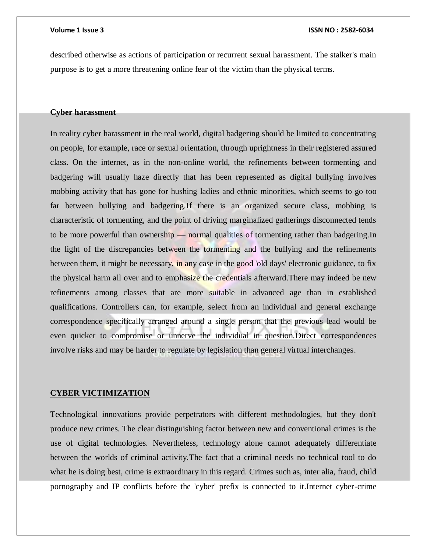described otherwise as actions of participation or recurrent sexual harassment. The stalker's main purpose is to get a more threatening online fear of the victim than the physical terms.

### **Cyber harassment**

In reality cyber harassment in the real world, digital badgering should be limited to concentrating on people, for example, race or sexual orientation, through uprightness in their registered assured class. On the internet, as in the non-online world, the refinements between tormenting and badgering will usually haze directly that has been represented as digital bullying involves mobbing activity that has gone for hushing ladies and ethnic minorities, which seems to go too far between bullying and badgering.If there is an organized secure class, mobbing is characteristic of tormenting, and the point of driving marginalized gatherings disconnected tends to be more powerful than ownership — normal qualities of tormenting rather than badgering.In the light of the discrepancies between the tormenting and the bullying and the refinements between them, it might be necessary, in any case in the good 'old days' electronic guidance, to fix the physical harm all over and to emphasize the credentials afterward.There may indeed be new refinements among classes that are more suitable in advanced age than in established qualifications. Controllers can, for example, select from an individual and general exchange correspondence specifically arranged around a single person that the previous lead would be even quicker to compromise or unnerve the individual in question.Direct correspondences involve risks and may be harder to regulate by legislation than general virtual interchanges.

#### **CYBER VICTIMIZATION**

Technological innovations provide perpetrators with different methodologies, but they don't produce new crimes. The clear distinguishing factor between new and conventional crimes is the use of digital technologies. Nevertheless, technology alone cannot adequately differentiate between the worlds of criminal activity.The fact that a criminal needs no technical tool to do what he is doing best, crime is extraordinary in this regard. Crimes such as, inter alia, fraud, child pornography and IP conflicts before the 'cyber' prefix is connected to it.Internet cyber-crime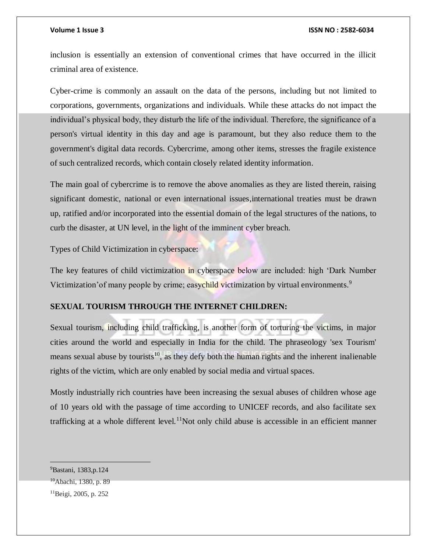inclusion is essentially an extension of conventional crimes that have occurred in the illicit criminal area of existence.

Cyber-crime is commonly an assault on the data of the persons, including but not limited to corporations, governments, organizations and individuals. While these attacks do not impact the individual's physical body, they disturb the life of the individual. Therefore, the significance of a person's virtual identity in this day and age is paramount, but they also reduce them to the government's digital data records. Cybercrime, among other items, stresses the fragile existence of such centralized records, which contain closely related identity information.

The main goal of cybercrime is to remove the above anomalies as they are listed therein, raising significant domestic, national or even international issues,international treaties must be drawn up, ratified and/or incorporated into the essential domain of the legal structures of the nations, to curb the disaster, at UN level, in the light of the imminent cyber breach.

Types of Child Victimization in cyberspace:

The key features of child victimization in cyberspace below are included: high 'Dark Number Victimization' of many people by crime; easychild victimization by virtual environments.<sup>9</sup>

# **SEXUAL TOURISM THROUGH THE INTERNET CHILDREN:**

Sexual tourism, including child trafficking, is another form of torturing the victims, in major cities around the world and especially in India for the child. The phraseology 'sex Tourism' means sexual abuse by tourists<sup>10</sup>, as they defy both the human rights and the inherent inalienable rights of the victim, which are only enabled by social media and virtual spaces.

Mostly industrially rich countries have been increasing the sexual abuses of children whose age of 10 years old with the passage of time according to UNICEF records, and also facilitate sex trafficking at a whole different level.<sup>11</sup>Not only child abuse is accessible in an efficient manner

<sup>&</sup>lt;sup>9</sup>Bastani, 1383, p. 124

<sup>&</sup>lt;sup>10</sup>Abachi, 1380, p. 89

<sup>11</sup>Beigi, 2005, p. 252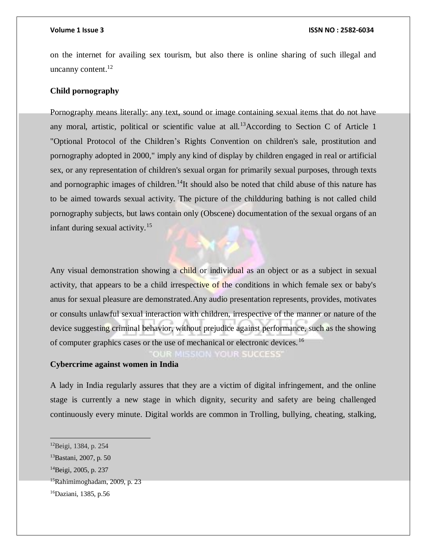on the internet for availing sex tourism, but also there is online sharing of such illegal and uncanny content. $^{12}$ 

### **Child pornography**

Pornography means literally: any text, sound or image containing sexual items that do not have any moral, artistic, political or scientific value at all.<sup>13</sup>According to Section C of Article 1 "Optional Protocol of the Children's Rights Convention on children's sale, prostitution and pornography adopted in 2000," imply any kind of display by children engaged in real or artificial sex, or any representation of children's sexual organ for primarily sexual purposes, through texts and pornographic images of children.<sup>14</sup>It should also be noted that child abuse of this nature has to be aimed towards sexual activity. The picture of the childduring bathing is not called child pornography subjects, but laws contain only (Obscene) documentation of the sexual organs of an infant during sexual activity.<sup>15</sup>

Any visual demonstration showing a child or individual as an object or as a subject in sexual activity, that appears to be a child irrespective of the conditions in which female sex or baby's anus for sexual pleasure are demonstrated.Any audio presentation represents, provides, motivates or consults unlawful sexual interaction with children, irrespective of the manner or nature of the device suggesting criminal behavior, without prejudice against performance, such as the showing of computer graphics cases or the use of mechanical or electronic devices.<sup>16</sup>

**ION YOUR SUCCESS** 

# **Cybercrime against women in India**

A lady in India regularly assures that they are a victim of digital infringement, and the online stage is currently a new stage in which dignity, security and safety are being challenged continuously every minute. Digital worlds are common in Trolling, bullying, cheating, stalking,

<sup>12</sup>Beigi, 1384, p. 254

<sup>13</sup>Bastani, 2007, p. 50

<sup>&</sup>lt;sup>14</sup>Beigi, 2005, p. 237

 $15R$ ahimimoghadam, 2009, p. 23

<sup>16</sup>Daziani, 1385, p.56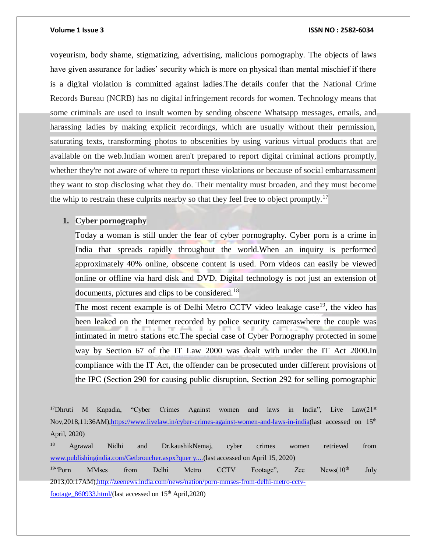voyeurism, body shame, stigmatizing, advertising, malicious pornography. The objects of laws have given assurance for ladies' security which is more on physical than mental mischief if there is a digital violation is committed against ladies.The details confer that the National Crime Records Bureau (NCRB) has no digital infringement records for women. Technology means that some criminals are used to insult women by sending obscene Whatsapp messages, emails, and harassing ladies by making explicit recordings, which are usually without their permission, saturating texts, transforming photos to obscenities by using various virtual products that are available on the web.Indian women aren't prepared to report digital criminal actions promptly, whether they're not aware of where to report these violations or because of social embarrassment they want to stop disclosing what they do. Their mentality must broaden, and they must become the whip to restrain these culprits nearby so that they feel free to object promptly.<sup>17</sup>

### **1. Cyber pornography**

Today a woman is still under the fear of cyber pornography. Cyber porn is a crime in India that spreads rapidly throughout the world.When an inquiry is performed approximately 40% online, obscene content is used. Porn videos can easily be viewed online or offline via hard disk and DVD. Digital technology is not just an extension of documents, pictures and clips to be considered.<sup>18</sup>

The most recent example is of Delhi Metro CCTV video leakage case<sup>19</sup>, the video has been leaked on the Internet recorded by police security cameraswhere the couple was intimated in metro stations etc.The special case of Cyber Pornography protected in some way by Section 67 of the IT Law 2000 was dealt with under the IT Act 2000.In compliance with the IT Act, the offender can be prosecuted under different provisions of the IPC (Section 290 for causing public disruption, Section 292 for selling pornographic

<sup>&</sup>lt;sup>17</sup>Dhruti M Kapadia, "Cyber Crimes Against women and laws in India", Live Law(21<sup>st</sup> Nov,2018,11:36AM)[,https://www.livelaw.in/cyber-crimes-against-women-and-laws-in-india\(](Seminar%20Paper%20-%20Sahil%20Jagia%20-%20Roll%2095%20-%20BBA.%20LL.%20B%20(1).docx)last accessed on 15th April, 2020)

<sup>18</sup> Agrawal Nidhi and Dr.kaushikNemaj, cyber crimes women retrieved from [www.publishingindia.com/Getbroucher.aspx?quer y....\(](http://www.publishingindia.com/Getbroucher.aspx?quer%20y....)last accessed on April 15, 2020)

<sup>&</sup>lt;sup>19</sup>"Porn MMses from Delhi Metro CCTV Footage", Zee News(10<sup>th</sup> July 2013,00:17AM[\),http://zeenews.india.com/news/nation/porn-mmses-from-delhi-metro-cctv](http://zeenews.india.com/news/nation/porn-mmses-from-delhi-metro-cctv-footage_860933.html/)[footage\\_860933.html/\(](http://zeenews.india.com/news/nation/porn-mmses-from-delhi-metro-cctv-footage_860933.html/)last accessed on  $15<sup>th</sup>$  April,2020)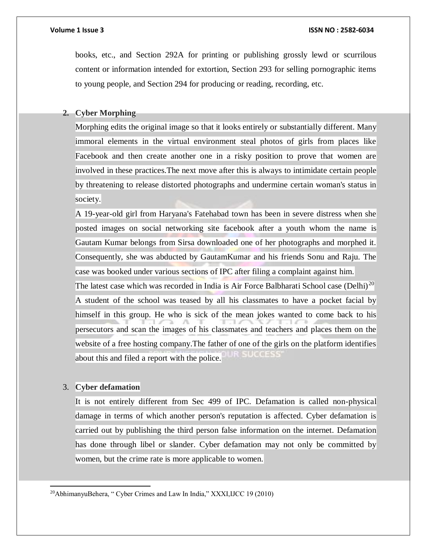books, etc., and Section 292A for printing or publishing grossly lewd or scurrilous content or information intended for extortion, Section 293 for selling pornographic items to young people, and Section 294 for producing or reading, recording, etc.

# **2. Cyber Morphing**

Morphing edits the original image so that it looks entirely or substantially different. Many immoral elements in the virtual environment steal photos of girls from places like Facebook and then create another one in a risky position to prove that women are involved in these practices.The next move after this is always to intimidate certain people by threatening to release distorted photographs and undermine certain woman's status in society.

A 19-year-old girl from Haryana's Fatehabad town has been in severe distress when she posted images on social networking site facebook after a youth whom the name is Gautam Kumar belongs from Sirsa downloaded one of her photographs and morphed it. Consequently, she was abducted by GautamKumar and his friends Sonu and Raju. The case was booked under various sections of IPC after filing a complaint against him.

The latest case which was recorded in India is Air Force Balbharati School case (Delhi)<sup>20</sup> A student of the school was teased by all his classmates to have a pocket facial by himself in this group. He who is sick of the mean jokes wanted to come back to his persecutors and scan the images of his classmates and teachers and places them on the website of a free hosting company.The father of one of the girls on the platform identifies about this and filed a report with the police.

# 3. **Cyber defamation**

 $\overline{a}$ 

It is not entirely different from Sec 499 of IPC. Defamation is called non-physical damage in terms of which another person's reputation is affected. Cyber defamation is carried out by publishing the third person false information on the internet. Defamation has done through libel or slander. Cyber defamation may not only be committed by women, but the crime rate is more applicable to women.

<sup>20</sup>AbhimanyuBehera, " Cyber Crimes and Law In India," XXXI,IJCC 19 (2010)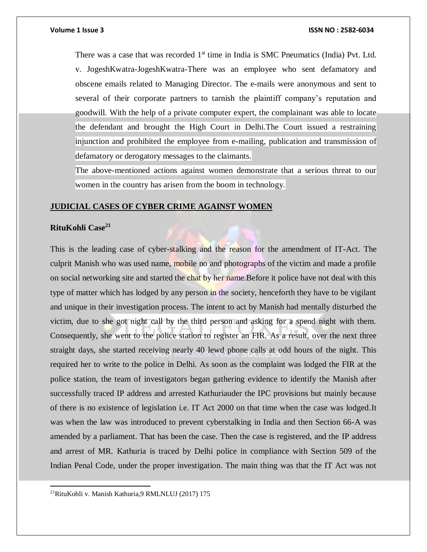There was a case that was recorded  $1<sup>st</sup>$  time in India is SMC Pneumatics (India) Pvt. Ltd. v. JogeshKwatra-JogeshKwatra-There was an employee who sent defamatory and obscene emails related to Managing Director. The e-mails were anonymous and sent to several of their corporate partners to tarnish the plaintiff company's reputation and goodwill. With the help of a private computer expert, the complainant was able to locate the defendant and brought the High Court in Delhi.The Court issued a restraining injunction and prohibited the employee from e-mailing, publication and transmission of defamatory or derogatory messages to the claimants.

The above-mentioned actions against women demonstrate that a serious threat to our women in the country has arisen from the boom in technology.

### **JUDICIAL CASES OF CYBER CRIME AGAINST WOMEN**

# **RituKohli Case<sup>21</sup>**

This is the leading case of cyber-stalking and the reason for the amendment of IT-Act. The culprit Manish who was used name, mobile no and photographs of the victim and made a profile on social networking site and started the chat by her name. Before it police have not deal with this type of matter which has lodged by any person in the society, henceforth they have to be vigilant and unique in their investigation process. The intent to act by Manish had mentally disturbed the victim, due to she got night call by the third person and asking for a spend night with them. Consequently, she went to the police station to register an FIR. As a result, over the next three straight days, she started receiving nearly 40 lewd phone calls at odd hours of the night. This required her to write to the police in Delhi. As soon as the complaint was lodged the FIR at the police station, the team of investigators began gathering evidence to identify the Manish after successfully traced IP address and arrested Kathuriauder the IPC provisions but mainly because of there is no existence of legislation i.e. IT Act 2000 on that time when the case was lodged.It was when the law was introduced to prevent cyberstalking in India and then Section 66-A was amended by a parliament. That has been the case. Then the case is registered, and the IP address and arrest of MR. Kathuria is traced by Delhi police in compliance with Section 509 of the Indian Penal Code, under the proper investigation. The main thing was that the IT Act was not

<sup>21</sup>RituKohli v. Manish Kathuria,9 RMLNLUJ (2017) 175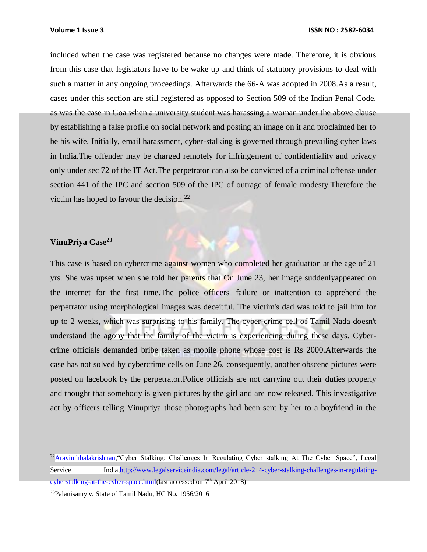included when the case was registered because no changes were made. Therefore, it is obvious from this case that legislators have to be wake up and think of statutory provisions to deal with such a matter in any ongoing proceedings. Afterwards the 66-A was adopted in 2008.As a result, cases under this section are still registered as opposed to Section 509 of the Indian Penal Code, as was the case in Goa when a university student was harassing a woman under the above clause by establishing a false profile on social network and posting an image on it and proclaimed her to be his wife. Initially, email harassment, cyber-stalking is governed through prevailing cyber laws in India.The offender may be charged remotely for infringement of confidentiality and privacy only under sec 72 of the IT Act.The perpetrator can also be convicted of a criminal offense under section 441 of the IPC and section 509 of the IPC of outrage of female modesty.Therefore the victim has hoped to favour the decision. $^{22}$ 

# **VinuPriya Case<sup>23</sup>**

This case is based on cybercrime against women who completed her graduation at the age of 21 yrs. She was upset when she told her parents that On June 23, her image suddenlyappeared on the internet for the first time.The police officers' failure or inattention to apprehend the perpetrator using morphological images was deceitful. The victim's dad was told to jail him for up to 2 weeks, which was surprising to his family. The cyber-crime cell of Tamil Nada doesn't understand the agony that the family of the victim is experiencing during these days. Cybercrime officials demanded bribe taken as mobile phone whose cost is Rs 2000.Afterwards the case has not solved by cybercrime cells on June 26, consequently, another obscene pictures were posted on facebook by the perpetrator.Police officials are not carrying out their duties properly and thought that somebody is given pictures by the girl and are now released. This investigative act by officers telling Vinupriya those photographs had been sent by her to a boyfriend in the

 $\overline{a}$ <sup>22</sup>[Aravinthbalakrishnan,](http://www.legalserviceindia.com/legal/author-468-aravinth-balakrishnan.html)"Cyber Stalking: Challenges In Regulating Cyber stalking At The Cyber Space", Legal Service India[,http://www.legalserviceindia.com/legal/article-214-cyber-stalking-challenges-in-regulating](http://www.legalserviceindia.com/legal/article-214-cyber-stalking-challenges-in-regulating-cyberstalking-at-the-cyber-space.html)[cyberstalking-at-the-cyber-space.html\(](http://www.legalserviceindia.com/legal/article-214-cyber-stalking-challenges-in-regulating-cyberstalking-at-the-cyber-space.html)last accessed on 7<sup>th</sup> April 2018) 23Palanisamy v. State of Tamil Nadu, HC No. 1956/2016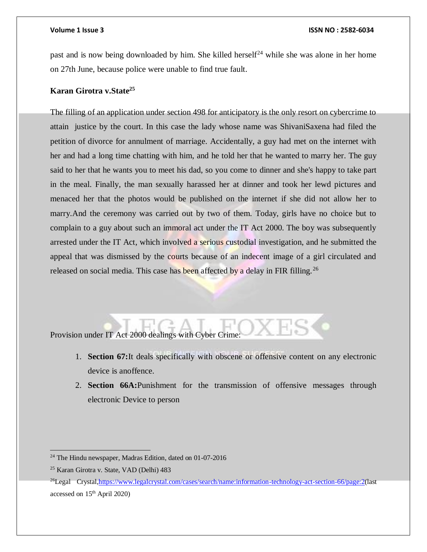past and is now being downloaded by him. She killed herself<sup>24</sup> while she was alone in her home on 27th June, because police were unable to find true fault.

# **Karan Girotra v.State<sup>25</sup>**

The filling of an application under section 498 for anticipatory is the only resort on cybercrime to attain justice by the court. In this case the lady whose name was ShivaniSaxena had filed the petition of divorce for annulment of marriage. Accidentally, a guy had met on the internet with her and had a long time chatting with him, and he told her that he wanted to marry her. The guy said to her that he wants you to meet his dad, so you come to dinner and she's happy to take part in the meal. Finally, the man sexually harassed her at dinner and took her lewd pictures and menaced her that the photos would be published on the internet if she did not allow her to marry.And the ceremony was carried out by two of them. Today, girls have no choice but to complain to a guy about such an immoral act under the IT Act 2000. The boy was subsequently arrested under the IT Act, which involved a serious custodial investigation, and he submitted the appeal that was dismissed by the courts because of an indecent image of a girl circulated and released on social media. This case has been affected by a delay in FIR filling.<sup>26</sup>

# Provision under IT Act 2000 dealings with Cyber Crime:

- 1. **Section 67:**It deals specifically with obscene or offensive content on any electronic device is anoffence.
- 2. **Section 66A:**Punishment for the transmission of offensive messages through electronic Device to person

<sup>24</sup> The Hindu newspaper, Madras Edition, dated on 01-07-2016

<sup>25</sup> Karan Girotra v. State, VAD (Delhi) 483

<sup>&</sup>lt;sup>26</sup>Legal Crystal, https://www.legalcrystal.com/cases/search/name:information-technology-act-section-66/page:2(last accessed on 15th April 2020)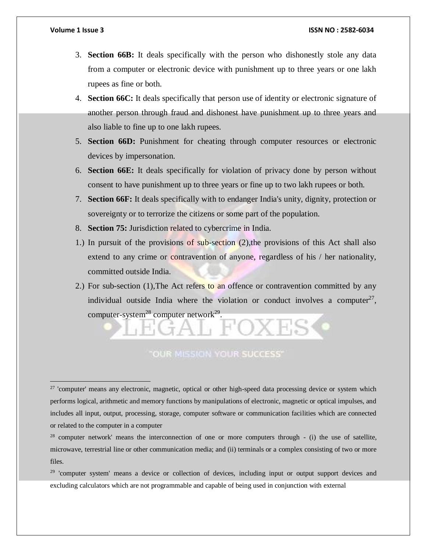- 3. **Section 66B:** It deals specifically with the person who dishonestly stole any data from a computer or electronic device with punishment up to three years or one lakh rupees as fine or both.
- 4. **Section 66C:** It deals specifically that person use of identity or electronic signature of another person through fraud and dishonest have punishment up to three years and also liable to fine up to one lakh rupees.
- 5. **Section 66D:** Punishment for cheating through computer resources or electronic devices by impersonation.
- 6. **Section 66E:** It deals specifically for violation of privacy done by person without consent to have punishment up to three years or fine up to two lakh rupees or both.
- 7. **Section 66F:** It deals specifically with to endanger India's unity, dignity, protection or sovereignty or to terrorize the citizens or some part of the population.
- 8. **Section 75:** Jurisdiction related to cybercrime in India.
- 1.) In pursuit of the provisions of sub-section (2),the provisions of this Act shall also extend to any crime or contravention of anyone, regardless of his / her nationality, committed outside India.
- 2.) For sub-section (1), The Act refers to an offence or contravention committed by any individual outside India where the violation or conduct involves a computer<sup>27</sup>, computer-system<sup>28</sup> computer network<sup>29</sup>.

# **OUR MISSION YOUR SUCCESS'**

 $27$  'computer' means any electronic, magnetic, optical or other high-speed data processing device or system which performs logical, arithmetic and memory functions by manipulations of electronic, magnetic or optical impulses, and includes all input, output, processing, storage, computer software or communication facilities which are connected or related to the computer in a computer

<sup>28</sup> computer network' means the interconnection of one or more computers through - (i) the use of satellite, microwave, terrestrial line or other communication media; and (ii) terminals or a complex consisting of two or more files.

<sup>29</sup> 'computer system' means a device or collection of devices, including input or output support devices and excluding calculators which are not programmable and capable of being used in conjunction with external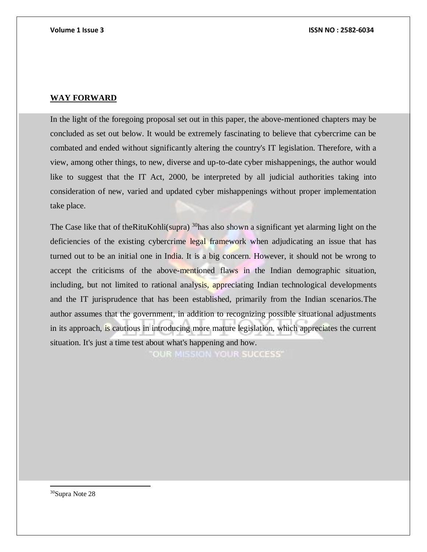### **WAY FORWARD**

In the light of the foregoing proposal set out in this paper, the above-mentioned chapters may be concluded as set out below. It would be extremely fascinating to believe that cybercrime can be combated and ended without significantly altering the country's IT legislation. Therefore, with a view, among other things, to new, diverse and up-to-date cyber mishappenings, the author would like to suggest that the IT Act, 2000, be interpreted by all judicial authorities taking into consideration of new, varied and updated cyber mishappenings without proper implementation take place.

The Case like that of the Ritu Kohli(supra)  $30$  has also shown a significant yet alarming light on the deficiencies of the existing cybercrime legal framework when adjudicating an issue that has turned out to be an initial one in India. It is a big concern. However, it should not be wrong to accept the criticisms of the above-mentioned flaws in the Indian demographic situation, including, but not limited to rational analysis, appreciating Indian technological developments and the IT jurisprudence that has been established, primarily from the Indian scenarios.The author assumes that the government, in addition to recognizing possible situational adjustments in its approach, is cautious in introducing more mature legislation, which appreciates the current situation. It's just a time test about what's happening and how.

**OUR MISSION YOUR SUCCESS'** 

30Supra Note 28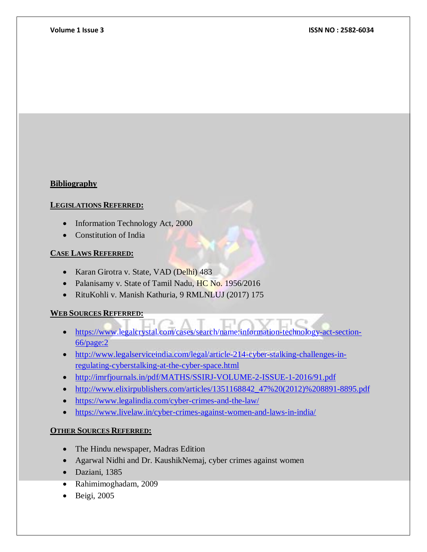# **Bibliography**

# **LEGISLATIONS REFERRED:**

- Information Technology Act, 2000
- Constitution of India

# **CASE LAWS REFERRED:**

- Karan Girotra v. State, VAD (Delhi) 483
- Palanisamy v. State of Tamil Nadu, HC No. 1956/2016
- RituKohli v. Manish Kathuria, 9 RMLNLUJ (2017) 175

# **WEB SOURCES REFERRED:**

- [https://www.legalcrystal.com/cases/search/name:information-technology-act-section-](https://www.legalcrystal.com/cases/search/name:information-technology-act-section-66/page:2)[66/page:2](https://www.legalcrystal.com/cases/search/name:information-technology-act-section-66/page:2)
- [http://www.legalserviceindia.com/legal/article-214-cyber-stalking-challenges-in](http://www.legalserviceindia.com/legal/article-214-cyber-stalking-challenges-in-regulating-cyberstalking-at-the-cyber-space.html)[regulating-cyberstalking-at-the-cyber-space.html](http://www.legalserviceindia.com/legal/article-214-cyber-stalking-challenges-in-regulating-cyberstalking-at-the-cyber-space.html)
- <http://imrfjournals.in/pdf/MATHS/SSIRJ-VOLUME-2-ISSUE-1-2016/91.pdf>
- [http://www.elixirpublishers.com/articles/1351168842\\_47%20\(2012\)%208891-8895.pdf](http://www.elixirpublishers.com/articles/1351168842_47%20(2012)%208891-8895.pdf)
- <https://www.legalindia.com/cyber-crimes-and-the-law/>
- <https://www.livelaw.in/cyber-crimes-against-women-and-laws-in-india/>

# **OTHER SOURCES REFERRED:**

- The Hindu newspaper, Madras Edition
- Agarwal Nidhi and Dr. KaushikNemaj, cyber crimes against women
- Daziani, 1385
- Rahimimoghadam, 2009
- Beigi, 2005